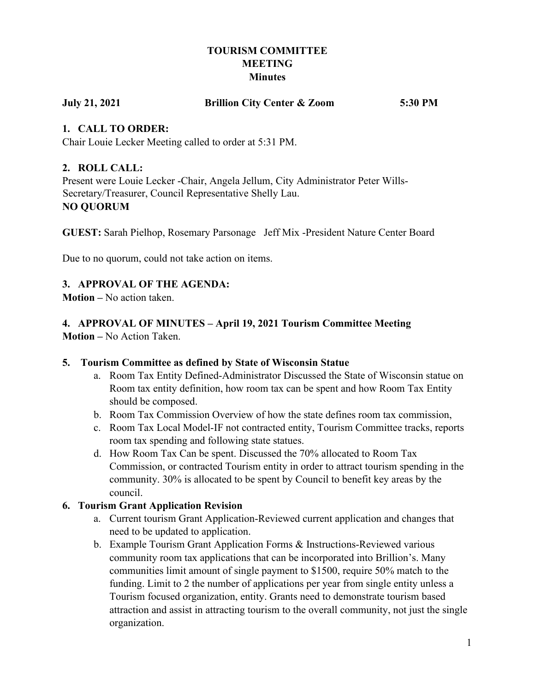# **TOURISM COMMITTEE MEETING Minutes**

| <b>July 21, 2021</b> | <b>Brillion City Center &amp; Zoom</b> | 5:30 PM |
|----------------------|----------------------------------------|---------|
|----------------------|----------------------------------------|---------|

# **1. CALL TO ORDER:**

Chair Louie Lecker Meeting called to order at 5:31 PM.

#### **2. ROLL CALL:**

Present were Louie Lecker -Chair, Angela Jellum, City Administrator Peter Wills-Secretary/Treasurer, Council Representative Shelly Lau. **NO QUORUM**

**GUEST:** Sarah Pielhop, Rosemary Parsonage Jeff Mix -President Nature Center Board

Due to no quorum, could not take action on items.

# **3. APPROVAL OF THE AGENDA:**

**Motion –** No action taken.

# **4. APPROVAL OF MINUTES – April 19, 2021 Tourism Committee Meeting**

**Motion –** No Action Taken.

#### **5. Tourism Committee as defined by State of Wisconsin Statue**

- a. Room Tax Entity Defined-Administrator Discussed the State of Wisconsin statue on Room tax entity definition, how room tax can be spent and how Room Tax Entity should be composed.
- b. Room Tax Commission Overview of how the state defines room tax commission,
- c. Room Tax Local Model-IF not contracted entity, Tourism Committee tracks, reports room tax spending and following state statues.
- d. How Room Tax Can be spent. Discussed the 70% allocated to Room Tax Commission, or contracted Tourism entity in order to attract tourism spending in the community. 30% is allocated to be spent by Council to benefit key areas by the council.

#### **6. Tourism Grant Application Revision**

- a. Current tourism Grant Application-Reviewed current application and changes that need to be updated to application.
- b. Example Tourism Grant Application Forms & Instructions-Reviewed various community room tax applications that can be incorporated into Brillion's. Many communities limit amount of single payment to \$1500, require 50% match to the funding. Limit to 2 the number of applications per year from single entity unless a Tourism focused organization, entity. Grants need to demonstrate tourism based attraction and assist in attracting tourism to the overall community, not just the single organization.